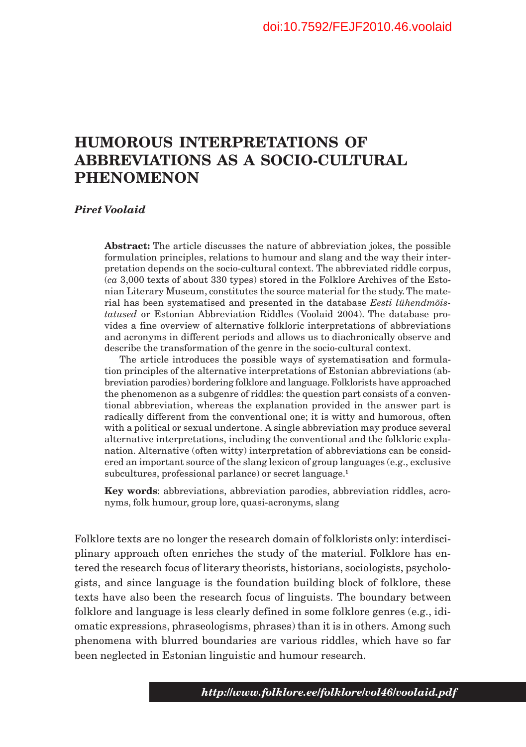# **HUMOROUS INTERPRETATIONS OF ABBREVIATIONS AS A SOCIO-CULTURAL PHENOMENON**

#### *Piret Voolaid*

**Abstract:** The article discusses the nature of abbreviation jokes, the possible formulation principles, relations to humour and slang and the way their interpretation depends on the socio-cultural context. The abbreviated riddle corpus, (*ca* 3,000 texts of about 330 types) stored in the Folklore Archives of the Estonian Literary Museum, constitutes the source material for the study. The material has been systematised and presented in the database *Eesti lühendmõistatused* or Estonian Abbreviation Riddles (Voolaid 2004). The database provides a fine overview of alternative folkloric interpretations of abbreviations and acronyms in different periods and allows us to diachronically observe and describe the transformation of the genre in the socio-cultural context.

The article introduces the possible ways of systematisation and formulation principles of the alternative interpretations of Estonian abbreviations (abbreviation parodies) bordering folklore and language. Folklorists have approached the phenomenon as a subgenre of riddles: the question part consists of a conventional abbreviation, whereas the explanation provided in the answer part is radically different from the conventional one; it is witty and humorous, often with a political or sexual undertone. A single abbreviation may produce several alternative interpretations, including the conventional and the folkloric explanation. Alternative (often witty) interpretation of abbreviations can be considered an important source of the slang lexicon of group languages (e.g., exclusive subcultures, professional parlance) or secret language.**<sup>1</sup>**

**Key words**: abbreviations, abbreviation parodies, abbreviation riddles, acronyms, folk humour, group lore, quasi-acronyms, slang

Folklore texts are no longer the research domain of folklorists only: interdisciplinary approach often enriches the study of the material. Folklore has entered the research focus of literary theorists, historians, sociologists, psychologists, and since language is the foundation building block of folklore, these texts have also been the research focus of linguists. The boundary between folklore and language is less clearly defined in some folklore genres (e.g., idiomatic expressions, phraseologisms, phrases) than it is in others. Among such phenomena with blurred boundaries are various riddles, which have so far been neglected in Estonian linguistic and humour research.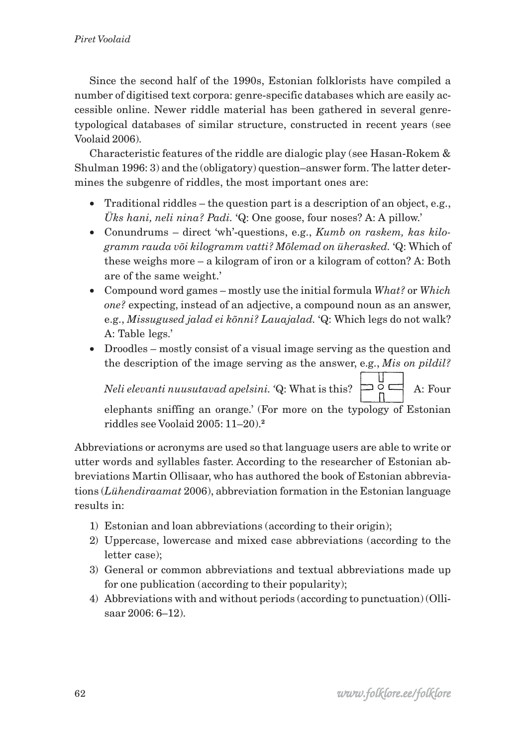Since the second half of the 1990s, Estonian folklorists have compiled a number of digitised text corpora: genre-specific databases which are easily accessible online. Newer riddle material has been gathered in several genretypological databases of similar structure, constructed in recent years (see Voolaid 2006).

Characteristic features of the riddle are dialogic play (see Hasan-Rokem & Shulman 1996: 3) and the (obligatory) question–answer form. The latter determines the subgenre of riddles, the most important ones are:

- Traditional riddles the question part is a description of an object, e.g., *Üks hani, neli nina? Padi.* 'Q: One goose, four noses? A: A pillow.'
- Conundrums direct 'wh'-questions, e.g., *Kumb on raskem, kas kilogramm rauda või kilogramm vatti? Mõlemad on üherasked.* 'Q: Which of these weighs more – a kilogram of iron or a kilogram of cotton? A: Both are of the same weight.'
- Compound word games mostly use the initial formula *What?* or *Which one?* expecting, instead of an adjective, a compound noun as an answer, e.g., *Missugused jalad ei kõnni? Lauajalad.* 'Q: Which legs do not walk? A: Table legs.'
- Droodles mostly consist of a visual image serving as the question and the description of the image serving as the answer, e.g., *Mis on pildil?*

*Neli elevanti nuusutavad apelsini.* 'Q: What is this?  $\Box \subseteq \Box$  A: Four

elephants sniffing an orange.' (For more on the typology of Estonian riddles see Voolaid 2005: 11–20).**<sup>2</sup>**

Abbreviations or acronyms are used so that language users are able to write or utter words and syllables faster. According to the researcher of Estonian abbreviations Martin Ollisaar, who has authored the book of Estonian abbreviations (*Lühendiraamat* 2006), abbreviation formation in the Estonian language results in:

- 1) Estonian and loan abbreviations (according to their origin);
- 2) Uppercase, lowercase and mixed case abbreviations (according to the letter case);
- 3) General or common abbreviations and textual abbreviations made up for one publication (according to their popularity);
- 4) Abbreviations with and without periods (according to punctuation) (Ollisaar 2006: 6–12).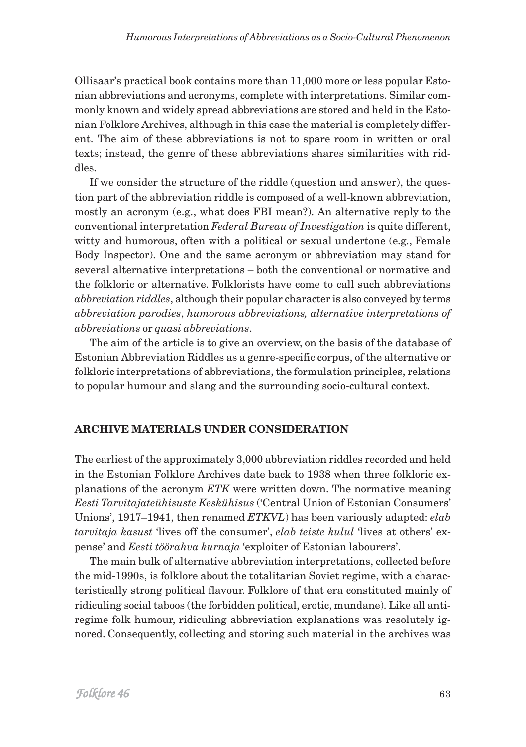Ollisaar's practical book contains more than 11,000 more or less popular Estonian abbreviations and acronyms, complete with interpretations. Similar commonly known and widely spread abbreviations are stored and held in the Estonian Folklore Archives, although in this case the material is completely different. The aim of these abbreviations is not to spare room in written or oral texts; instead, the genre of these abbreviations shares similarities with riddles.

If we consider the structure of the riddle (question and answer), the question part of the abbreviation riddle is composed of a well-known abbreviation, mostly an acronym (e.g., what does FBI mean?). An alternative reply to the conventional interpretation *Federal Bureau of Investigation* is quite different, witty and humorous, often with a political or sexual undertone (e.g., Female Body Inspector). One and the same acronym or abbreviation may stand for several alternative interpretations – both the conventional or normative and the folkloric or alternative. Folklorists have come to call such abbreviations *abbreviation riddles*, although their popular character is also conveyed by terms *abbreviation parodies*, *humorous abbreviations, alternative interpretations of abbreviations* or *quasi abbreviations*.

The aim of the article is to give an overview, on the basis of the database of Estonian Abbreviation Riddles as a genre-specific corpus, of the alternative or folkloric interpretations of abbreviations, the formulation principles, relations to popular humour and slang and the surrounding socio-cultural context.

## **ARCHIVE MATERIALS UNDER CONSIDERATION**

The earliest of the approximately 3,000 abbreviation riddles recorded and held in the Estonian Folklore Archives date back to 1938 when three folkloric explanations of the acronym *ETK* were written down. The normative meaning *Eesti Tarvitajateühisuste Keskühisus* ('Central Union of Estonian Consumers' Unions', 1917–1941, then renamed *ETKVL*) has been variously adapted: *elab tarvitaja kasust* 'lives off the consumer', *elab teiste kulul* 'lives at others' expense' and *Eesti töörahva kurnaja* 'exploiter of Estonian labourers'.

The main bulk of alternative abbreviation interpretations, collected before the mid-1990s, is folklore about the totalitarian Soviet regime, with a characteristically strong political flavour. Folklore of that era constituted mainly of ridiculing social taboos (the forbidden political, erotic, mundane). Like all antiregime folk humour, ridiculing abbreviation explanations was resolutely ignored. Consequently, collecting and storing such material in the archives was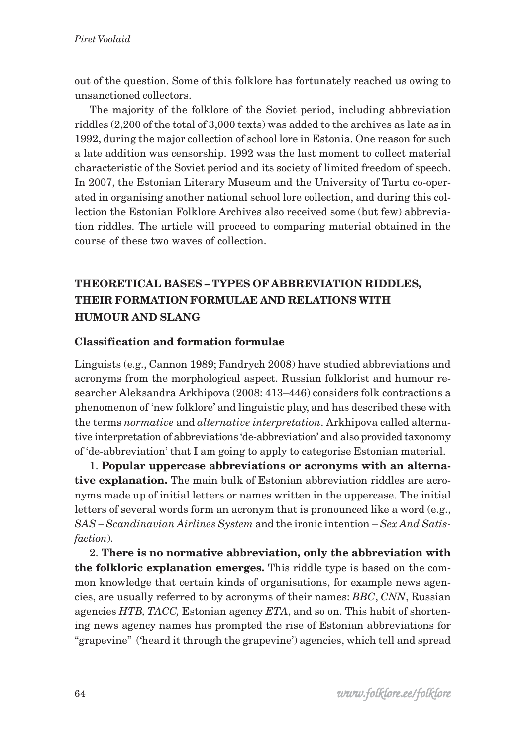out of the question. Some of this folklore has fortunately reached us owing to unsanctioned collectors.

The majority of the folklore of the Soviet period, including abbreviation riddles (2,200 of the total of 3,000 texts) was added to the archives as late as in 1992, during the major collection of school lore in Estonia. One reason for such a late addition was censorship. 1992 was the last moment to collect material characteristic of the Soviet period and its society of limited freedom of speech. In 2007, the Estonian Literary Museum and the University of Tartu co-operated in organising another national school lore collection, and during this collection the Estonian Folklore Archives also received some (but few) abbreviation riddles. The article will proceed to comparing material obtained in the course of these two waves of collection.

## **THEORETICAL BASES – TYPES OF ABBREVIATION RIDDLES, THEIR FORMATION FORMULAE AND RELATIONS WITH HUMOUR AND SLANG**

### **Classification and formation formulae**

Linguists (e.g., Cannon 1989; Fandrych 2008) have studied abbreviations and acronyms from the morphological aspect. Russian folklorist and humour researcher Aleksandra Arkhipova (2008: 413–446) considers folk contractions a phenomenon of 'new folklore' and linguistic play, and has described these with the terms *normative* and *alternative interpretation*. Arkhipova called alternative interpretation of abbreviations 'de-abbreviation' and also provided taxonomy of 'de-abbreviation' that I am going to apply to categorise Estonian material.

1. **Popular uppercase abbreviations or acronyms with an alternative explanation.** The main bulk of Estonian abbreviation riddles are acronyms made up of initial letters or names written in the uppercase. The initial letters of several words form an acronym that is pronounced like a word (e.g., *SAS – Scandinavian Airlines System* and the ironic intention – *Sex And Satisfaction*).

2. **There is no normative abbreviation, only the abbreviation with the folkloric explanation emerges.** This riddle type is based on the common knowledge that certain kinds of organisations, for example news agencies, are usually referred to by acronyms of their names: *BBC*, *CNN*, Russian agencies *HTB, TACC,* Estonian agency *ETA*, and so on. This habit of shortening news agency names has prompted the rise of Estonian abbreviations for "grapevine" ('heard it through the grapevine') agencies, which tell and spread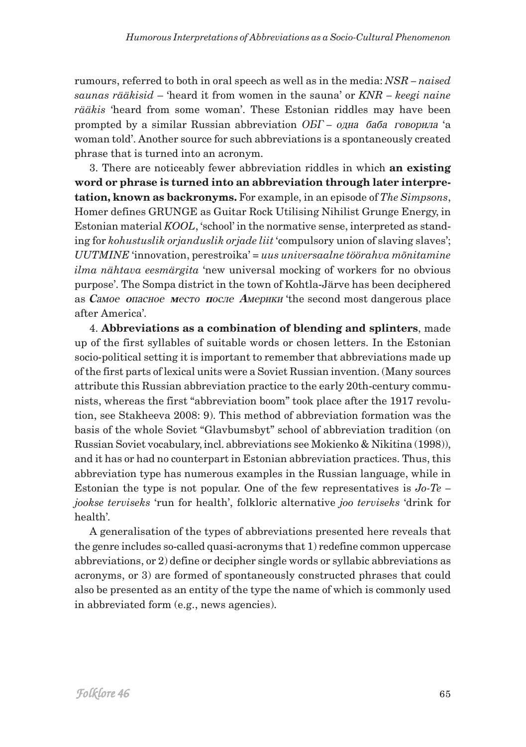rumours, referred to both in oral speech as well as in the media: *NSR – naised saunas rääkisid* – 'heard it from women in the sauna' or *KNR – keegi naine rääkis* 'heard from some woman'. These Estonian riddles may have been prompted by a similar Russian abbreviation ОБГ – одна баба говорила 'a woman told'. Another source for such abbreviations is a spontaneously created phrase that is turned into an acronym.

3. There are noticeably fewer abbreviation riddles in which **an existing word or phrase is turned into an abbreviation through later interpretation, known as backronyms.** For example, in an episode of *The Simpsons*, Homer defines GRUNGE as Guitar Rock Utilising Nihilist Grunge Energy, in Estonian material *KOOL*, 'school' in the normative sense, interpreted as standing for *kohustuslik orjanduslik orjade liit* 'compulsory union of slaving slaves'; *UUTMINE* 'innovation, perestroika' = *uus universaalne töörahva mõnitamine ilma nähtava eesmärgita* 'new universal mocking of workers for no obvious purpose'. The Sompa district in the town of Kohtla-Järve has been deciphered ав Самое опасное место после Америки 'the second most dangerous place after America'*.*

4. **Abbreviations as a combination of blending and splinters**, made up of the first syllables of suitable words or chosen letters. In the Estonian socio-political setting it is important to remember that abbreviations made up of the first parts of lexical units were a Soviet Russian invention. (Many sources attribute this Russian abbreviation practice to the early 20th-century communists, whereas the first "abbreviation boom" took place after the 1917 revolution, see Stakheeva 2008: 9). This method of abbreviation formation was the basis of the whole Soviet "Glavbumsbyt" school of abbreviation tradition (on Russian Soviet vocabulary, incl. abbreviations see Mokienko & Nikitina (1998)), and it has or had no counterpart in Estonian abbreviation practices. Thus, this abbreviation type has numerous examples in the Russian language, while in Estonian the type is not popular. One of the few representatives is *Jo-Te – jookse terviseks* 'run for health', folkloric alternative *joo terviseks* 'drink for health'*.*

A generalisation of the types of abbreviations presented here reveals that the genre includes so-called quasi-acronyms that 1) redefine common uppercase abbreviations, or 2) define or decipher single words or syllabic abbreviations as acronyms, or 3) are formed of spontaneously constructed phrases that could also be presented as an entity of the type the name of which is commonly used in abbreviated form (e.g., news agencies).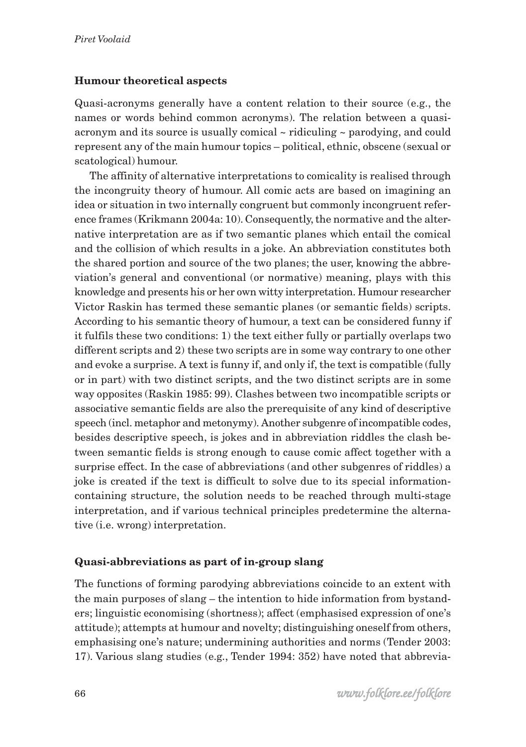### **Humour theoretical aspects**

Quasi-acronyms generally have a content relation to their source (e.g., the names or words behind common acronyms). The relation between a quasiacronym and its source is usually comical  $\sim$  ridiculing  $\sim$  parodying, and could represent any of the main humour topics – political, ethnic, obscene (sexual or scatological) humour.

The affinity of alternative interpretations to comicality is realised through the incongruity theory of humour. All comic acts are based on imagining an idea or situation in two internally congruent but commonly incongruent reference frames (Krikmann 2004a: 10). Consequently, the normative and the alternative interpretation are as if two semantic planes which entail the comical and the collision of which results in a joke. An abbreviation constitutes both the shared portion and source of the two planes; the user, knowing the abbreviation's general and conventional (or normative) meaning, plays with this knowledge and presents his or her own witty interpretation. Humour researcher Victor Raskin has termed these semantic planes (or semantic fields) scripts. According to his semantic theory of humour, a text can be considered funny if it fulfils these two conditions: 1) the text either fully or partially overlaps two different scripts and 2) these two scripts are in some way contrary to one other and evoke a surprise. A text is funny if, and only if, the text is compatible (fully or in part) with two distinct scripts, and the two distinct scripts are in some way opposites (Raskin 1985: 99). Clashes between two incompatible scripts or associative semantic fields are also the prerequisite of any kind of descriptive speech (incl. metaphor and metonymy). Another subgenre of incompatible codes, besides descriptive speech, is jokes and in abbreviation riddles the clash between semantic fields is strong enough to cause comic affect together with a surprise effect. In the case of abbreviations (and other subgenres of riddles) a joke is created if the text is difficult to solve due to its special informationcontaining structure, the solution needs to be reached through multi-stage interpretation, and if various technical principles predetermine the alternative (i.e. wrong) interpretation.

## **Quasi-abbreviations as part of in-group slang**

The functions of forming parodying abbreviations coincide to an extent with the main purposes of slang – the intention to hide information from bystanders; linguistic economising (shortness); affect (emphasised expression of one's attitude); attempts at humour and novelty; distinguishing oneself from others, emphasising one's nature; undermining authorities and norms (Tender 2003: 17). Various slang studies (e.g., Tender 1994: 352) have noted that abbrevia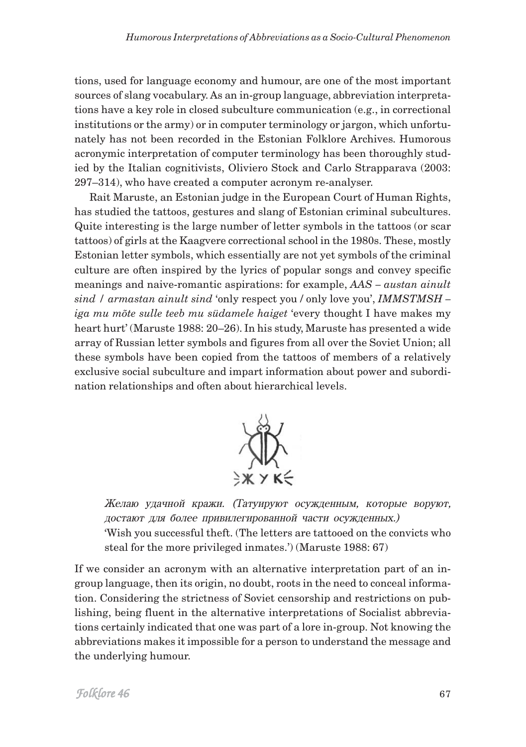tions, used for language economy and humour, are one of the most important sources of slang vocabulary. As an in-group language, abbreviation interpretations have a key role in closed subculture communication (e.g., in correctional institutions or the army) or in computer terminology or jargon, which unfortunately has not been recorded in the Estonian Folklore Archives. Humorous acronymic interpretation of computer terminology has been thoroughly studied by the Italian cognitivists, Oliviero Stock and Carlo Strapparava (2003: 297–314), who have created a computer acronym re-analyser.

Rait Maruste, an Estonian judge in the European Court of Human Rights, has studied the tattoos, gestures and slang of Estonian criminal subcultures. Quite interesting is the large number of letter symbols in the tattoos (or scar tattoos) of girls at the Kaagvere correctional school in the 1980s. These, mostly Estonian letter symbols, which essentially are not yet symbols of the criminal culture are often inspired by the lyrics of popular songs and convey specific meanings and naive-romantic aspirations: for example, *AAS – austan ainult sind / armastan ainult sind* 'only respect you / only love you', *IMMSTMSH – iga mu mõte sulle teeb mu südamele haiget* 'every thought I have makes my heart hurt' (Maruste 1988: 20–26). In his study, Maruste has presented a wide array of Russian letter symbols and figures from all over the Soviet Union; all these symbols have been copied from the tattoos of members of a relatively exclusive social subculture and impart information about power and subordination relationships and often about hierarchical levels.



Желаю удачной кражи. (Татуируют осужденным, которые воруют, достают для более привилегированной части осужденных.) 'Wish you successful theft. (The letters are tattooed on the convicts who steal for the more privileged inmates.') (Maruste 1988: 67)

If we consider an acronym with an alternative interpretation part of an ingroup language, then its origin, no doubt, roots in the need to conceal information. Considering the strictness of Soviet censorship and restrictions on publishing, being fluent in the alternative interpretations of Socialist abbreviations certainly indicated that one was part of a lore in-group. Not knowing the abbreviations makes it impossible for a person to understand the message and the underlying humour.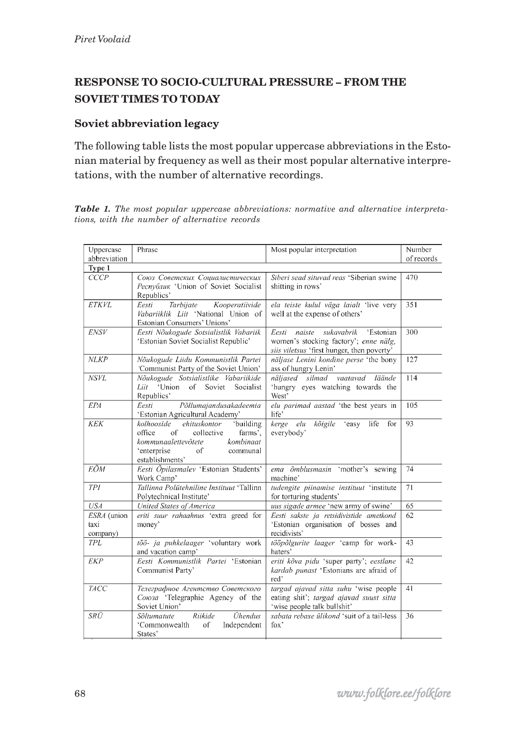## **RESPONSE TO SOCIO-CULTURAL PRESSURE – FROM THE SOVIET TIMES TO TODAY**

## **Soviet abbreviation legacy**

The following table lists the most popular uppercase abbreviations in the Estonian material by frequency as well as their most popular alternative interpretations, with the number of alternative recordings.

*Table 1. The most popular uppercase abbreviations: normative and alternative interpretations, with the number of alternative records*

| Uppercase                       | Phrase                                                                                                                                                                   | Most popular interpretation                                                                                                       | Number     |  |
|---------------------------------|--------------------------------------------------------------------------------------------------------------------------------------------------------------------------|-----------------------------------------------------------------------------------------------------------------------------------|------------|--|
| abbreviation                    |                                                                                                                                                                          |                                                                                                                                   | of records |  |
| Type 1                          |                                                                                                                                                                          |                                                                                                                                   |            |  |
| <b>CCCP</b>                     | Союз Советских Социалистических<br>Pecnyónuk 'Union of Soviet Socialist<br>Republics'                                                                                    | Siberi sead situvad reas 'Siberian swine<br>shitting in rows'                                                                     | 470        |  |
| <b>ETKVL</b>                    | Tarbijate<br>Eesti<br>Kooperatiivide<br>Vabariiklik Liit 'National Union of<br>Estonian Consumers' Unions'                                                               | ela teiste kulul väga laialt 'live very<br>well at the expense of others'                                                         | 351        |  |
| <b>ENSV</b>                     | Eesti Nõukogude Sotsialistlik Vabariik<br>'Estonian Soviet Socialist Republic'                                                                                           | sukavabrik<br>'Estonian<br>Eesti<br>naiste<br>women's stocking factory'; enne nälg,<br>siis viletsus 'first hunger, then poverty' | 300        |  |
| <b>NLKP</b>                     | Nõukogude Liidu Kommunistlik Partei<br>'Communist Party of the Soviet Union'                                                                                             | näljase Lenini kondine perse 'the bony<br>ass of hungry Lenin'                                                                    | 127        |  |
| <b>NSVL</b>                     | Nõukogude Sotsialistlike Vabariikide<br>'Union of Soviet<br>Socialist<br>Liit<br>Republics'                                                                              | näljased silmad<br>vaatavad<br>läände<br>'hungry eyes watching towards the<br>West'                                               | 114        |  |
| <b>EPA</b>                      | Põllumajandusakadeemia<br>Eesti<br>'Estonian Agricultural Academy'                                                                                                       | elu parimad aastad 'the best years in<br>life'                                                                                    | 105        |  |
| <b>KEK</b>                      | 'building<br>kolhooside<br>ehituskontor<br>of<br>farms'.<br>office<br>collective<br>kommunaalettevõtete<br>kombinaat<br>'enterprise<br>of<br>communal<br>establishments' | kõigile<br>kerge elu<br>'easy<br>life<br>for<br>everybody'                                                                        | 93         |  |
| EÕM                             | Eesti Õpilasmalev 'Estonian Students'<br>Work Camp'                                                                                                                      | ema õmblusmasin 'mother's sewing<br>machine'                                                                                      | 74         |  |
| <b>TPI</b>                      | Tallinna Polütehniline Instituut 'Tallinn<br>Polytechnical Institute'                                                                                                    | tudengite piinamise instituut 'institute<br>for torturing students'                                                               | 71         |  |
| <b>USA</b>                      | United States of America                                                                                                                                                 | uus sigade armee 'new army of swine'                                                                                              | 65         |  |
| ESRA (union<br>taxi<br>company) | eriti suur rahaahnus 'extra greed for<br>money'                                                                                                                          | Eesti sakste ja retsidivistide ametkond<br>'Estonian organisation of bosses and<br>recidivists'                                   | 62         |  |
| <b>TPL</b>                      | töö- ja puhkelaager 'voluntary work<br>and vacation camp'                                                                                                                | tööpõlgurite laager 'camp for work-<br>haters'                                                                                    | 43         |  |
| <b>EKP</b>                      | Eesti Kommunistlik Partei 'Estonian<br>Communist Party'                                                                                                                  | eriti kõva pidu 'super party'; eestlane<br>kardab punast 'Estonians are afraid of<br>red'                                         | 42         |  |
| <b>TACC</b>                     | Телеграфное Агентство Советского<br>Союза 'Telegraphic Agency of the<br>Soviet Union'                                                                                    | targad ajavad sitta suhu 'wise people<br>eating shit'; targad ajavad suust sitta<br>'wise people talk bullshit'                   | 41         |  |
| <b>SRÜ</b>                      | Ühendus<br>Sõltumatute<br>Riikide<br>'Commonwealth<br>of<br>Independent<br>States'                                                                                       | sabata rebase ülikond 'suit of a tail-less<br>fox'                                                                                | 36         |  |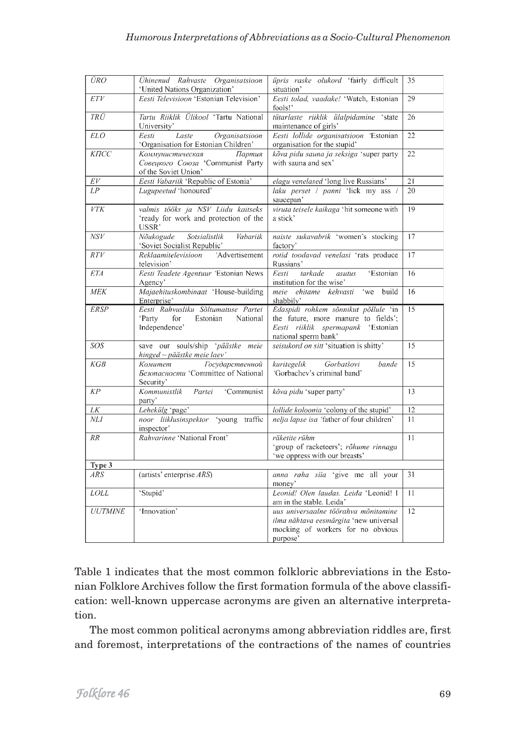| <b>ÜRO</b>      | Ühinenud Rahvaste Organisatsioon<br>'United Nations Organization'                             | üpris raske olukord 'fairly difficult<br>situation'                                                                                       | 35 |
|-----------------|-----------------------------------------------------------------------------------------------|-------------------------------------------------------------------------------------------------------------------------------------------|----|
| ETV             | Eesti Televisioon 'Estonian Television'                                                       | Eesti tolad, vaadake! 'Watch, Estonian<br>fools!'                                                                                         | 29 |
| TRÜ             | Tartu Riiklik Ülikool 'Tartu National<br>University'                                          | tütarlaste riiklik ülalpidamine 'state<br>maintenance of girls'                                                                           | 26 |
| <b>ELO</b>      | Organisatsioon<br>Laste<br>Eesti<br>'Organisation for Estonian Children'                      | Eesti lollide organisatsioon 'Estonian<br>organisation for the stupid'                                                                    | 22 |
| КПСС            | Коммунистическая<br>Партия<br>Совецкого Союза 'Communist Party<br>of the Soviet Union'        | kõva pidu sauna ja seksiga 'super party<br>with sauna and sex'                                                                            | 22 |
| $\frac{EV}{LP}$ | Eesti Vabariik 'Republic of Estonia'                                                          | elagu venelased 'long live Russians'                                                                                                      | 21 |
|                 | Lugupeetud 'honoured'                                                                         | laku perset / panni 'lick my ass /<br>saucepan'                                                                                           | 20 |
| VTK             | valmis tööks ja NSV Liidu kaitseks<br>'ready for work and protection of the<br>USSR'          | viruta teisele kaikaga 'hit someone with<br>a stick'                                                                                      | 19 |
| NSV             | Nõukogude<br>Sotsialistlik<br>Vabariik<br>'Soviet Socialist Republic'                         | naiste sukavabrik 'women's stocking<br>factory'                                                                                           | 17 |
| RTV             | Reklaamitelevisioon<br>'Advertisement<br>television'                                          | rotid toodavad venelasi 'rats produce<br>Russians'                                                                                        | 17 |
| <b>ETA</b>      | Eesti Teadete Agentuur 'Estonian News<br>Agency'                                              | tarkade<br>Eesti<br>'Estonian<br>asutus<br>institution for the wise'                                                                      | 16 |
| <b>MEK</b>      | Majaehituskombinaat 'House-building<br>Enterprise'                                            | meie ehitame kehvasti 'we<br>build<br>shabbily'                                                                                           | 16 |
| <b>ERSP</b>     | Eesti Rahvusliku Sõltumatuse Partei<br>'Party<br>Estonian<br>National<br>for<br>Independence' | Edaspidi rohkem sõnnikut põllule 'in<br>the future, more manure to fields';<br>Eesti riiklik spermapank 'Estonian<br>national sperm bank' | 15 |
| SOS             | save our souls/ship 'päästke meie<br>hinged ~ päästke meie laev'                              | seisukord on sitt 'situation is shitty'                                                                                                   | 15 |
| KGB             | Государственной<br>Комитет<br>Безопасности 'Committee of National<br>Security'                | kuritegelik<br>Gorbatšovi<br>bande<br>'Gorbachev's criminal band'                                                                         | 15 |
| KP              | Kommunistlik<br>Partei<br>'Communist<br>party'                                                | kõva pidu 'super party'                                                                                                                   | 13 |
| $L\overline{K}$ | Lehekülg 'page'                                                                               | lollide koloonia 'colony of the stupid'                                                                                                   | 12 |
| <b>NLI</b>      | noor liiklusinspektor 'young traffic<br>inspector'                                            | nelja lapse isa 'father of four children'                                                                                                 | 11 |
| RR              | Rahvarinne 'National Front'                                                                   | räketite rühm<br>'group of racketeers'; rõhume rinnaga<br>'we oppress with our breasts'                                                   | 11 |
| Type 3          |                                                                                               |                                                                                                                                           |    |
| ARS             | (artists' enterprise ARS)                                                                     | anna raha siia 'give me all your<br>money'                                                                                                | 31 |
| <b>LOLL</b>     | 'Stupid'                                                                                      | Leonid! Olen laudas. Leida 'Leonid! I<br>am in the stable. Leida'                                                                         | 11 |
| <b>UUTMINE</b>  | 'Innovation'                                                                                  | uus universaalne töörahva mõnitamine<br>ilma nähtava eesmärgita 'new universal<br>mocking of workers for no obvious<br>purpose'           | 12 |

Table 1 indicates that the most common folkloric abbreviations in the Estonian Folklore Archives follow the first formation formula of the above classification: well-known uppercase acronyms are given an alternative interpretation.

The most common political acronyms among abbreviation riddles are, first and foremost, interpretations of the contractions of the names of countries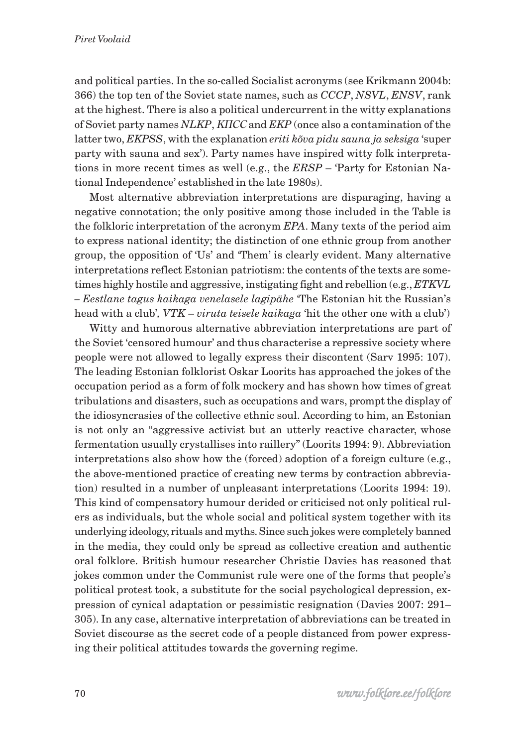and political parties. In the so-called Socialist acronyms (see Krikmann 2004b: 366) the top ten of the Soviet state names, such as *CCCP*, *NSVL*, *ENSV*, rank at the highest. There is also a political undercurrent in the witty explanations of Soviet party names *NLKP*, *KIICC* and *EKP* (once also a contamination of the latter two, *EKPSS*, with the explanation *eriti kõva pidu sauna ja seksiga* 'super party with sauna and sex'). Party names have inspired witty folk interpretations in more recent times as well (e.g., the *ERSP* – 'Party for Estonian National Independence' established in the late 1980s).

Most alternative abbreviation interpretations are disparaging, having a negative connotation; the only positive among those included in the Table is the folkloric interpretation of the acronym *EPA*. Many texts of the period aim to express national identity; the distinction of one ethnic group from another group, the opposition of 'Us' and 'Them' is clearly evident. Many alternative interpretations reflect Estonian patriotism: the contents of the texts are sometimes highly hostile and aggressive, instigating fight and rebellion (e.g., *ETKVL – Eestlane tagus kaikaga venelasele lagipähe* 'The Estonian hit the Russian's head with a club'*, VTK* – *viruta teisele kaikaga* 'hit the other one with a club')

Witty and humorous alternative abbreviation interpretations are part of the Soviet 'censored humour' and thus characterise a repressive society where people were not allowed to legally express their discontent (Sarv 1995: 107). The leading Estonian folklorist Oskar Loorits has approached the jokes of the occupation period as a form of folk mockery and has shown how times of great tribulations and disasters, such as occupations and wars, prompt the display of the idiosyncrasies of the collective ethnic soul. According to him, an Estonian is not only an "aggressive activist but an utterly reactive character, whose fermentation usually crystallises into raillery" (Loorits 1994: 9). Abbreviation interpretations also show how the (forced) adoption of a foreign culture (e.g., the above-mentioned practice of creating new terms by contraction abbreviation) resulted in a number of unpleasant interpretations (Loorits 1994: 19). This kind of compensatory humour derided or criticised not only political rulers as individuals, but the whole social and political system together with its underlying ideology, rituals and myths. Since such jokes were completely banned in the media, they could only be spread as collective creation and authentic oral folklore. British humour researcher Christie Davies has reasoned that jokes common under the Communist rule were one of the forms that people's political protest took, a substitute for the social psychological depression, expression of cynical adaptation or pessimistic resignation (Davies 2007: 291– 305). In any case, alternative interpretation of abbreviations can be treated in Soviet discourse as the secret code of a people distanced from power expressing their political attitudes towards the governing regime.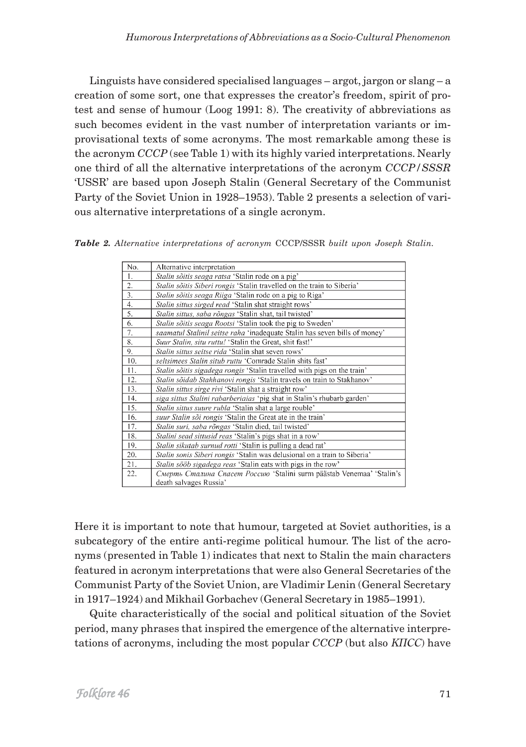Linguists have considered specialised languages – argot, jargon or slang – a creation of some sort, one that expresses the creator's freedom, spirit of protest and sense of humour (Loog 1991: 8). The creativity of abbreviations as such becomes evident in the vast number of interpretation variants or improvisational texts of some acronyms. The most remarkable among these is the acronym *CCCP* (see Table 1) with its highly varied interpretations. Nearly one third of all the alternative interpretations of the acronym *CCCP/SSSR* 'USSR' are based upon Joseph Stalin (General Secretary of the Communist Party of the Soviet Union in 1928–1953). Table 2 presents a selection of various alternative interpretations of a single acronym.

*Table 2. Alternative interpretations of acronym* CCCP/SSSR *built upon Joseph Stalin.*

| No.              | Alternative interpretation                                                 |
|------------------|----------------------------------------------------------------------------|
| 1.               | Stalin sõitis seaga ratsa 'Stalin rode on a pig'                           |
| 2.               | Stalin sõitis Siberi rongis 'Stalin travelled on the train to Siberia'     |
| $\overline{3}$ . | Stalin sõitis seaga Riiga 'Stalin rode on a pig to Riga'                   |
| 4.               | Stalin sittus sirged read 'Stalin shat straight rows'                      |
| 5.               | Stalin sittus, saba rõngas 'Stalin shat, tail twisted'                     |
| 6.               | Stalin sõitis seaga Rootsi 'Stalin took the pig to Sweden'                 |
| 7.               | saamatul Stalinil seitse raha 'inadequate Stalin has seven bills of money' |
| 8.               | Suur Stalin, situ ruttu! 'Stalin the Great, shit fast!'                    |
| 9.               | Stalin sittus seitse rida 'Stalin shat seven rows'                         |
| 10.              | seltsimees Stalin situb ruttu 'Comrade Stalin shits fast'                  |
| 11.              | Stalin sõitis sigadega rongis 'Stalin travelled with pigs on the train'    |
| 12.              | Stalin sõidab Stahhanovi rongis 'Stalin travels on train to Stakhanov'     |
| 13.              | Stalin sittus sirge rivi 'Stalin shat a straight row'                      |
| 14.              | siga sittus Stalini rabarberiaias 'pig shat in Stalin's rhubarb garden'    |
| 15.              | Stalin sittus suure rubla 'Stalin shat a large rouble'                     |
| 16.              | suur Stalin sõi rongis 'Stalin the Great ate in the train'                 |
| 17.              | Stalin suri, saba rõngas 'Stalin died, tail twisted'                       |
| 18.              | Stalini sead sittusid reas 'Stalin's pigs shat in a row'                   |
| 19.              | Stalin sikutab surnud rotti 'Stalin is pulling a dead rat'                 |
| 20.              | Stalin sonis Siberi rongis 'Stalin was delusional on a train to Siberia'   |
| 21.              | Stalin sööb sigadega reas 'Stalin eats with pigs in the row'               |
| 22.              | Смерть Сталина Спасет Россию 'Stalini surm päästab Venemaa' 'Stalin's      |
|                  | death salvages Russia'                                                     |

Here it is important to note that humour, targeted at Soviet authorities, is a subcategory of the entire anti-regime political humour. The list of the acronyms (presented in Table 1) indicates that next to Stalin the main characters featured in acronym interpretations that were also General Secretaries of the Communist Party of the Soviet Union, are Vladimir Lenin (General Secretary in 1917–1924) and Mikhail Gorbachev (General Secretary in 1985–1991).

Quite characteristically of the social and political situation of the Soviet period, many phrases that inspired the emergence of the alternative interpretations of acronyms, including the most popular *CCCP* (but also *KIICC*) have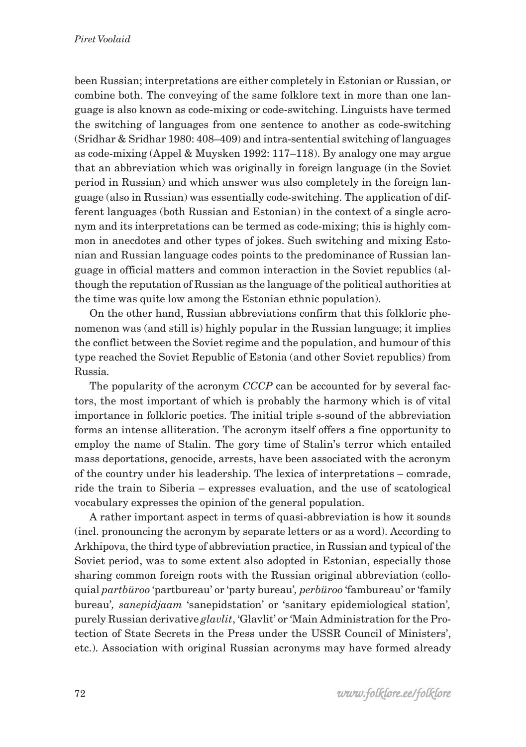been Russian; interpretations are either completely in Estonian or Russian, or combine both. The conveying of the same folklore text in more than one language is also known as code-mixing or code-switching. Linguists have termed the switching of languages from one sentence to another as code-switching (Sridhar & Sridhar 1980: 408–409) and intra-sentential switching of languages as code-mixing (Appel & Muysken 1992: 117–118). By analogy one may argue that an abbreviation which was originally in foreign language (in the Soviet period in Russian) and which answer was also completely in the foreign language (also in Russian) was essentially code-switching. The application of different languages (both Russian and Estonian) in the context of a single acronym and its interpretations can be termed as code-mixing; this is highly common in anecdotes and other types of jokes. Such switching and mixing Estonian and Russian language codes points to the predominance of Russian language in official matters and common interaction in the Soviet republics (although the reputation of Russian as the language of the political authorities at the time was quite low among the Estonian ethnic population).

On the other hand, Russian abbreviations confirm that this folkloric phenomenon was (and still is) highly popular in the Russian language; it implies the conflict between the Soviet regime and the population, and humour of this type reached the Soviet Republic of Estonia (and other Soviet republics) from Russia.

The popularity of the acronym *CCCP* can be accounted for by several factors, the most important of which is probably the harmony which is of vital importance in folkloric poetics. The initial triple s-sound of the abbreviation forms an intense alliteration. The acronym itself offers a fine opportunity to employ the name of Stalin. The gory time of Stalin's terror which entailed mass deportations, genocide, arrests, have been associated with the acronym of the country under his leadership. The lexica of interpretations – comrade, ride the train to Siberia – expresses evaluation, and the use of scatological vocabulary expresses the opinion of the general population.

A rather important aspect in terms of quasi-abbreviation is how it sounds (incl. pronouncing the acronym by separate letters or as a word). According to Arkhipova, the third type of abbreviation practice, in Russian and typical of the Soviet period, was to some extent also adopted in Estonian, especially those sharing common foreign roots with the Russian original abbreviation (colloquial *partbüroo* 'partbureau' or 'party bureau'*, perbüroo* 'fambureau' or 'family bureau'*, sanepidjaam* 'sanepidstation' or 'sanitary epidemiological station'*,* purely Russian derivative *glavlit*, 'Glavlit' or 'Main Administration for the Protection of State Secrets in the Press under the USSR Council of Ministers', etc.). Association with original Russian acronyms may have formed already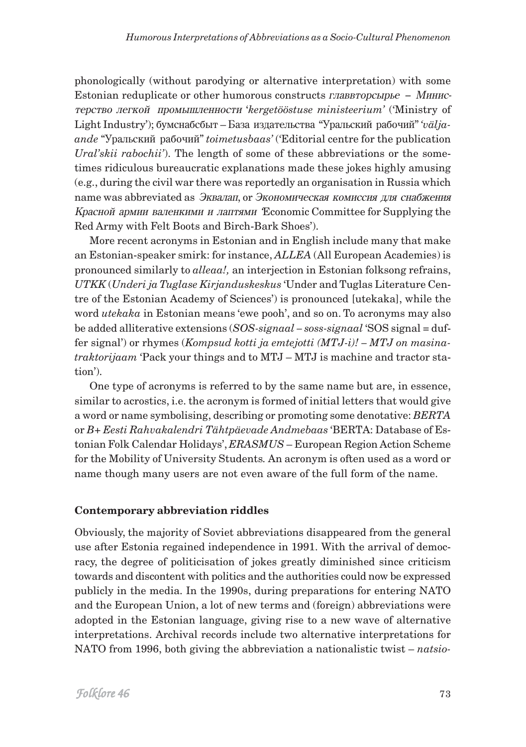phonologically (without parodying or alternative interpretation) with some Estonian reduplicate or other humorous constructs  $\vec{\theta}$  *главвторсырье* – *Минис*òåðñòâî ëåãêîé ïðîìûøëåííîñòè '*kergetööstuse ministeerium'* ('Ministry of Light Industry'); áóìñíàáñáûò – Áàçà èçäàòåëüñòâà "Óðàëüñêèé ðàáî÷èé" *'väljaande* "Óðàëüñêèé ðàáî÷èé" *toimetusbaas'* ('Editorial centre for the publication *Ural'skii rabochii'*). The length of some of these abbreviations or the sometimes ridiculous bureaucratic explanations made these jokes highly amusing (e.g., during the civil war there was reportedly an organisation in Russia which name was abbreviated as Эквалап, от Экономическая комиссия для снабжения Красной армии валенкими и лаптями 'Economic Committee for Supplying the Red Army with Felt Boots and Birch-Bark Shoes').

More recent acronyms in Estonian and in English include many that make an Estonian-speaker smirk: for instance, *ALLEA* (All European Academies) is pronounced similarly to *alleaa!,* an interjection in Estonian folksong refrains, *UTKK* (*Underi ja Tuglase Kirjanduskeskus* 'Under and Tuglas Literature Centre of the Estonian Academy of Sciences') is pronounced [utekaka], while the word *utekaka* in Estonian means 'ewe pooh', and so on. To acronyms may also be added alliterative extensions (*SOS-signaal – soss-signaal* 'SOS signal = duffer signal') or rhymes (*Kompsud kotti ja emtejotti (MTJ-i)! – MTJ on masinatraktorijaam* 'Pack your things and to MTJ – MTJ is machine and tractor station').

One type of acronyms is referred to by the same name but are, in essence, similar to acrostics, i.e. the acronym is formed of initial letters that would give a word or name symbolising, describing or promoting some denotative: *BERTA* or *B+ Eesti Rahvakalendri Tähtpäevade Andmebaas* 'BERTA: Database of Estonian Folk Calendar Holidays', *ERASMUS* – European Region Action Scheme for the Mobility of University Students*.* An acronym is often used as a word or name though many users are not even aware of the full form of the name.

## **Contemporary abbreviation riddles**

Obviously, the majority of Soviet abbreviations disappeared from the general use after Estonia regained independence in 1991. With the arrival of democracy, the degree of politicisation of jokes greatly diminished since criticism towards and discontent with politics and the authorities could now be expressed publicly in the media. In the 1990s, during preparations for entering NATO and the European Union, a lot of new terms and (foreign) abbreviations were adopted in the Estonian language, giving rise to a new wave of alternative interpretations. Archival records include two alternative interpretations for NATO from 1996, both giving the abbreviation a nationalistic twist – *natsio-*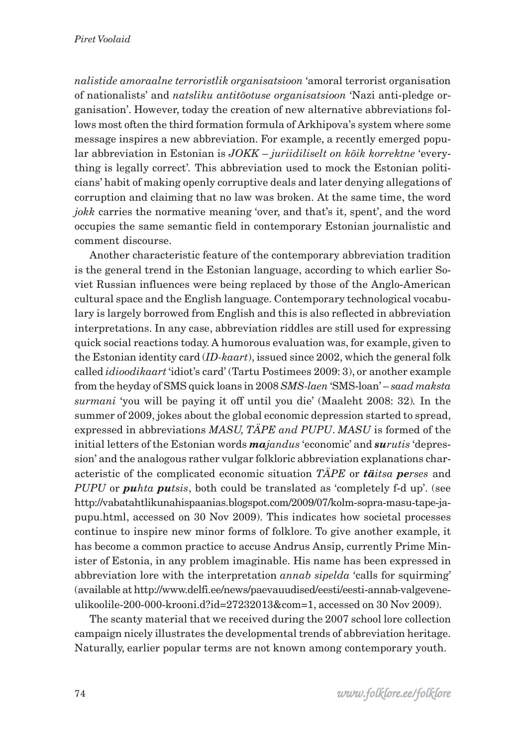*nalistide amoraalne terroristlik organisatsioon* 'amoral terrorist organisation of nationalists' and *natsliku antitõotuse organisatsioon* 'Nazi anti-pledge organisation'. However, today the creation of new alternative abbreviations follows most often the third formation formula of Arkhipova's system where some message inspires a new abbreviation. For example, a recently emerged popular abbreviation in Estonian is *JOKK* – *juriidiliselt on kõik korrektne* 'everything is legally correct'*.* This abbreviation used to mock the Estonian politicians' habit of making openly corruptive deals and later denying allegations of corruption and claiming that no law was broken. At the same time, the word *jokk* carries the normative meaning 'over, and that's it, spent', and the word occupies the same semantic field in contemporary Estonian journalistic and comment discourse.

Another characteristic feature of the contemporary abbreviation tradition is the general trend in the Estonian language, according to which earlier Soviet Russian influences were being replaced by those of the Anglo-American cultural space and the English language. Contemporary technological vocabulary is largely borrowed from English and this is also reflected in abbreviation interpretations. In any case, abbreviation riddles are still used for expressing quick social reactions today. A humorous evaluation was, for example, given to the Estonian identity card (*ID-kaart*), issued since 2002, which the general folk called *idioodikaart* 'idiot's card' (Tartu Postimees 2009: 3), or another example from the heyday of SMS quick loans in 2008 *SMS-laen* 'SMS-loan' – *saad maksta surmani* 'you will be paying it off until you die' (Maaleht 2008: 32)*.* In the summer of 2009, jokes about the global economic depression started to spread, expressed in abbreviations *MASU, TÄPE and PUPU*. *MASU* is formed of the initial letters of the Estonian words *majandus* 'economic' and *surutis* 'depression' and the analogous rather vulgar folkloric abbreviation explanations characteristic of the complicated economic situation *TÄPE* or *täitsa perses* and *PUPU* or *puhta putsis*, both could be translated as 'completely f-d up'. (see http://vabatahtlikunahispaanias.blogspot.com/2009/07/kolm-sopra-masu-tape-japupu.html, accessed on 30 Nov 2009). This indicates how societal processes continue to inspire new minor forms of folklore. To give another example, it has become a common practice to accuse Andrus Ansip, currently Prime Minister of Estonia, in any problem imaginable. His name has been expressed in abbreviation lore with the interpretation *annab sipelda* 'calls for squirming' (available at http://www.delfi.ee/news/paevauudised/eesti/eesti-annab-valgeveneulikoolile-200-000-krooni.d?id=27232013&com=1, accessed on 30 Nov 2009).

The scanty material that we received during the 2007 school lore collection campaign nicely illustrates the developmental trends of abbreviation heritage. Naturally, earlier popular terms are not known among contemporary youth.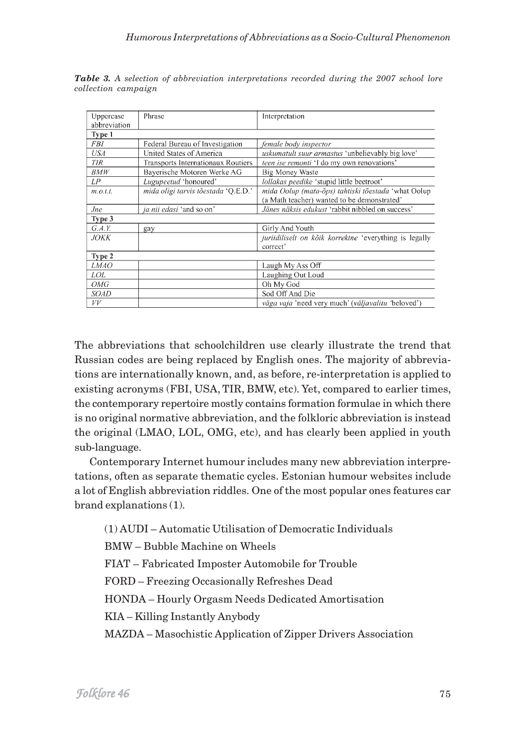| Uppercase    | Phrase                              | Interpretation                                          |  |  |
|--------------|-------------------------------------|---------------------------------------------------------|--|--|
| abbreviation |                                     |                                                         |  |  |
| Type 1       |                                     |                                                         |  |  |
| FBI          | Federal Bureau of Investigation     | female body inspector                                   |  |  |
| USA          | United States of America            | <i>uskumatult suur armastus</i> 'unbelievably big love' |  |  |
| <b>TIR</b>   | Transports Internationaux Routiers  | <i>teen ise remonti</i> 'I do my own renovations'       |  |  |
| BMW          | Bayerische Motoren Werke AG         | <b>Big Money Waste</b>                                  |  |  |
| LP           | Lugupeetud 'honoured'               | lollakas peedike 'stupid little beetroot'               |  |  |
| m.o.t.t.     | mida oligi tarvis tõestada 'Q.E.D.' | mida Oolup (mata-õps) tahtiski tõestada 'what Oolup     |  |  |
|              |                                     | (a Math teacher) wanted to be demonstrated'             |  |  |
| <i>Jne</i>   | ja nii edasi 'and so on'            | Jänes näksis edukust 'rabbit nibbled on success'        |  |  |
| Type 3       |                                     |                                                         |  |  |
| G.A.Y.       | gay                                 | Girly And Youth                                         |  |  |
| <b>JOKK</b>  |                                     | juriidiliselt on kõik korrektne 'everything is legally  |  |  |
|              |                                     | correct'                                                |  |  |
| Type 2       |                                     |                                                         |  |  |
| <b>LMAO</b>  |                                     | Laugh My Ass Off                                        |  |  |
| LOL          |                                     | Laughing Out Loud                                       |  |  |
| OMG          |                                     | Oh My God                                               |  |  |
| <b>SOAD</b>  |                                     | Sod Off And Die                                         |  |  |
| VV           |                                     | väga vaja 'need very much' (väljavalitu 'beloved')      |  |  |

*Table 3. A selection of abbreviation interpretations recorded during the 2007 school lore collection campaign*

The abbreviations that schoolchildren use clearly illustrate the trend that Russian codes are being replaced by English ones. The majority of abbreviations are internationally known, and, as before, re-interpretation is applied to existing acronyms (FBI, USA, TIR, BMW, etc). Yet, compared to earlier times, the contemporary repertoire mostly contains formation formulae in which there is no original normative abbreviation, and the folkloric abbreviation is instead the original (LMAO, LOL, OMG, etc), and has clearly been applied in youth sub-language.

Contemporary Internet humour includes many new abbreviation interpretations, often as separate thematic cycles. Estonian humour websites include a lot of English abbreviation riddles. One of the most popular ones features car brand explanations (1).

(1) AUDI – Automatic Utilisation of Democratic Individuals

BMW – Bubble Machine on Wheels

FIAT – Fabricated Imposter Automobile for Trouble

FORD – Freezing Occasionally Refreshes Dead

HONDA – Hourly Orgasm Needs Dedicated Amortisation

KIA – Killing Instantly Anybody

MAZDA – Masochistic Application of Zipper Drivers Association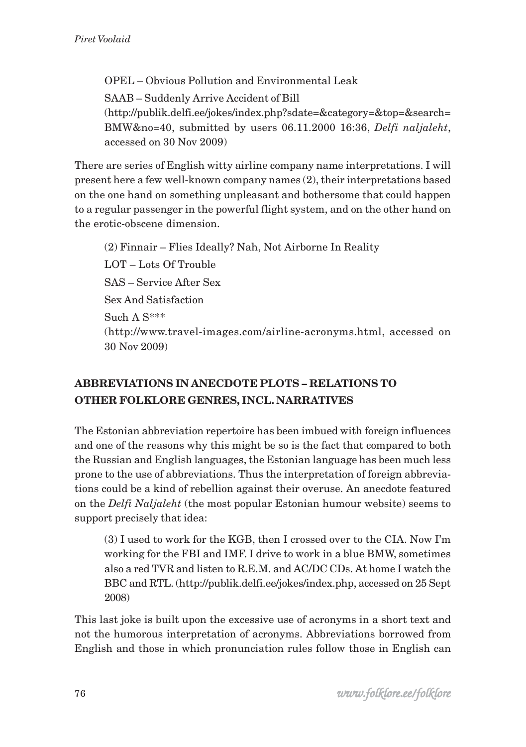OPEL – Obvious Pollution and Environmental Leak SAAB – Suddenly Arrive Accident of Bill (http://publik.delfi.ee/jokes/index.php?sdate=&category=&top=&search= BMW&no=40, submitted by users 06.11.2000 16:36, *Delfi naljaleht*, accessed on 30 Nov 2009)

There are series of English witty airline company name interpretations. I will present here a few well-known company names (2), their interpretations based on the one hand on something unpleasant and bothersome that could happen to a regular passenger in the powerful flight system, and on the other hand on the erotic-obscene dimension.

(2) Finnair – Flies Ideally? Nah, Not Airborne In Reality LOT – Lots Of Trouble SAS – Service After Sex Sex And Satisfaction Such A S\*\*\* (http://www.travel-images.com/airline-acronyms.html, accessed on 30 Nov 2009)

## **ABBREVIATIONS IN ANECDOTE PLOTS – RELATIONS TO OTHER FOLKLORE GENRES, INCL. NARRATIVES**

The Estonian abbreviation repertoire has been imbued with foreign influences and one of the reasons why this might be so is the fact that compared to both the Russian and English languages, the Estonian language has been much less prone to the use of abbreviations. Thus the interpretation of foreign abbreviations could be a kind of rebellion against their overuse. An anecdote featured on the *Delfi Naljaleht* (the most popular Estonian humour website) seems to support precisely that idea:

(3) I used to work for the KGB, then I crossed over to the CIA. Now I'm working for the FBI and IMF. I drive to work in a blue BMW, sometimes also a red TVR and listen to R.E.M. and AC/DC CDs. At home I watch the BBC and RTL. (http://publik.delfi.ee/jokes/index.php, accessed on 25 Sept 2008)

This last joke is built upon the excessive use of acronyms in a short text and not the humorous interpretation of acronyms. Abbreviations borrowed from English and those in which pronunciation rules follow those in English can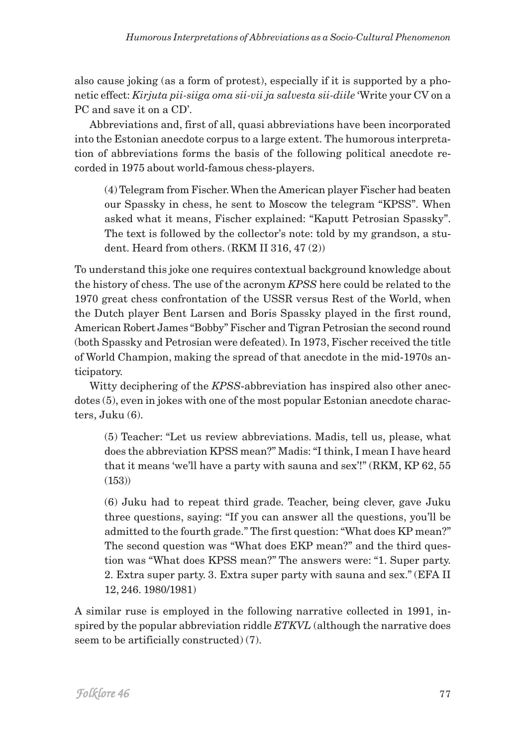also cause joking (as a form of protest), especially if it is supported by a phonetic effect: *Kirjuta pii-siiga oma sii-vii ja salvesta sii-diile* 'Write your CV on a PC and save it on a CD'.

Abbreviations and, first of all, quasi abbreviations have been incorporated into the Estonian anecdote corpus to a large extent. The humorous interpretation of abbreviations forms the basis of the following political anecdote recorded in 1975 about world-famous chess-players.

(4) Telegram from Fischer. When the American player Fischer had beaten our Spassky in chess, he sent to Moscow the telegram "KPSS". When asked what it means, Fischer explained: "Kaputt Petrosian Spassky". The text is followed by the collector's note: told by my grandson, a student. Heard from others. (RKM II 316, 47 (2))

To understand this joke one requires contextual background knowledge about the history of chess. The use of the acronym *KPSS* here could be related to the 1970 great chess confrontation of the USSR versus Rest of the World, when the Dutch player Bent Larsen and Boris Spassky played in the first round, American Robert James "Bobby" Fischer and Tigran Petrosian the second round (both Spassky and Petrosian were defeated). In 1973, Fischer received the title of World Champion, making the spread of that anecdote in the mid-1970s anticipatory.

Witty deciphering of the *KPSS*-abbreviation has inspired also other anecdotes (5), even in jokes with one of the most popular Estonian anecdote characters, Juku (6).

(5) Teacher: "Let us review abbreviations. Madis, tell us, please, what does the abbreviation KPSS mean?" Madis: "I think, I mean I have heard that it means 'we'll have a party with sauna and sex'!" (RKM, KP 62, 55 (153))

(6) Juku had to repeat third grade. Teacher, being clever, gave Juku three questions, saying: "If you can answer all the questions, you'll be admitted to the fourth grade." The first question: "What does KP mean?" The second question was "What does EKP mean?" and the third question was "What does KPSS mean?" The answers were: "1. Super party. 2. Extra super party. 3. Extra super party with sauna and sex." (EFA II 12, 246. 1980/1981)

A similar ruse is employed in the following narrative collected in 1991, inspired by the popular abbreviation riddle *ETKVL* (although the narrative does seem to be artificially constructed) (7).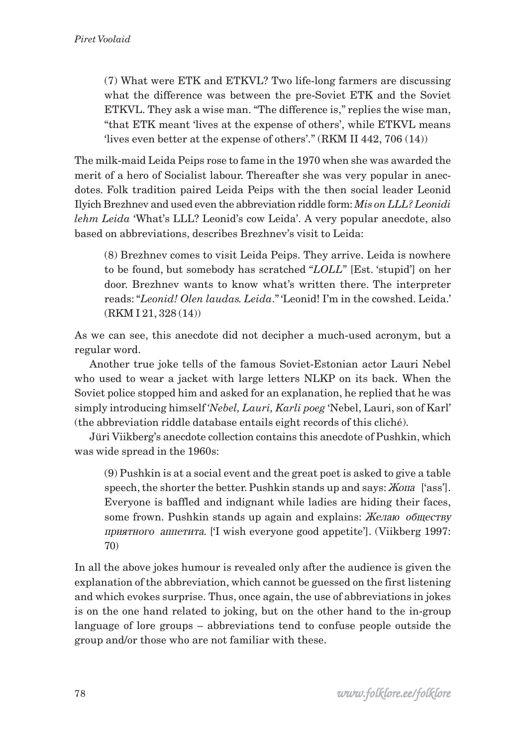(7) What were ETK and ETKVL? Two life-long farmers are discussing what the difference was between the pre-Soviet ETK and the Soviet ETKVL. They ask a wise man. "The difference is," replies the wise man, "that ETK meant 'lives at the expense of others', while ETKVL means 'lives even better at the expense of others'." (RKM II 442, 706 (14))

The milk-maid Leida Peips rose to fame in the 1970 when she was awarded the merit of a hero of Socialist labour. Thereafter she was very popular in anecdotes. Folk tradition paired Leida Peips with the then social leader Leonid Ilyich Brezhnev and used even the abbreviation riddle form: *Mis on LLL? Leonidi lehm Leida* 'What's LLL? Leonid's cow Leida'. A very popular anecdote, also based on abbreviations, describes Brezhnev's visit to Leida:

(8) Brezhnev comes to visit Leida Peips. They arrive. Leida is nowhere to be found, but somebody has scratched "*LOLL*" [Est. 'stupid'] on her door. Brezhnev wants to know what's written there. The interpreter reads: "*Leonid! Olen laudas. Leida*." 'Leonid! I'm in the cowshed. Leida.' (RKM I 21, 328 (14))

As we can see, this anecdote did not decipher a much-used acronym, but a regular word.

Another true joke tells of the famous Soviet-Estonian actor Lauri Nebel who used to wear a jacket with large letters NLKP on its back. When the Soviet police stopped him and asked for an explanation, he replied that he was simply introducing himself *'Nebel, Lauri, Karli poeg* 'Nebel, Lauri, son of Karl' (the abbreviation riddle database entails eight records of this cliché).

Jüri Viikberg's anecdote collection contains this anecdote of Pushkin, which was wide spread in the 1960s:

(9) Pushkin is at a social event and the great poet is asked to give a table speech, the shorter the better. Pushkin stands up and says: *Жопа* ['ass']. Everyone is baffled and indignant while ladies are hiding their faces, some frown. Pushkin stands up again and explains: Желаю обществу приятного аппетита. [T wish everyone good appetite']. (Viikberg 1997: 70)

In all the above jokes humour is revealed only after the audience is given the explanation of the abbreviation, which cannot be guessed on the first listening and which evokes surprise. Thus, once again, the use of abbreviations in jokes is on the one hand related to joking, but on the other hand to the in-group language of lore groups – abbreviations tend to confuse people outside the group and/or those who are not familiar with these.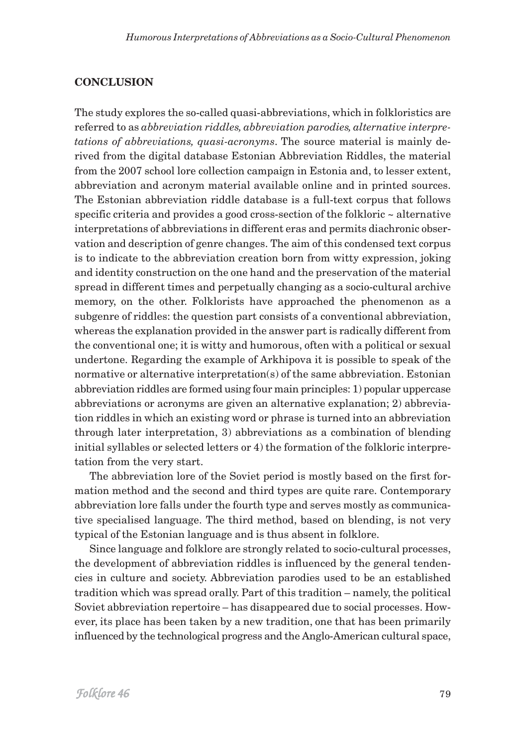#### **CONCLUSION**

The study explores the so-called quasi-abbreviations, which in folkloristics are referred to as *abbreviation riddles, abbreviation parodies, alternative interpretations of abbreviations, quasi-acronyms*. The source material is mainly derived from the digital database Estonian Abbreviation Riddles, the material from the 2007 school lore collection campaign in Estonia and, to lesser extent, abbreviation and acronym material available online and in printed sources. The Estonian abbreviation riddle database is a full-text corpus that follows specific criteria and provides a good cross-section of the folkloric  $\sim$  alternative interpretations of abbreviations in different eras and permits diachronic observation and description of genre changes. The aim of this condensed text corpus is to indicate to the abbreviation creation born from witty expression, joking and identity construction on the one hand and the preservation of the material spread in different times and perpetually changing as a socio-cultural archive memory, on the other. Folklorists have approached the phenomenon as a subgenre of riddles: the question part consists of a conventional abbreviation, whereas the explanation provided in the answer part is radically different from the conventional one; it is witty and humorous, often with a political or sexual undertone. Regarding the example of Arkhipova it is possible to speak of the normative or alternative interpretation(s) of the same abbreviation. Estonian abbreviation riddles are formed using four main principles: 1) popular uppercase abbreviations or acronyms are given an alternative explanation; 2) abbreviation riddles in which an existing word or phrase is turned into an abbreviation through later interpretation, 3) abbreviations as a combination of blending initial syllables or selected letters or 4) the formation of the folkloric interpretation from the very start.

The abbreviation lore of the Soviet period is mostly based on the first formation method and the second and third types are quite rare. Contemporary abbreviation lore falls under the fourth type and serves mostly as communicative specialised language. The third method, based on blending, is not very typical of the Estonian language and is thus absent in folklore.

Since language and folklore are strongly related to socio-cultural processes, the development of abbreviation riddles is influenced by the general tendencies in culture and society. Abbreviation parodies used to be an established tradition which was spread orally. Part of this tradition – namely, the political Soviet abbreviation repertoire – has disappeared due to social processes. However, its place has been taken by a new tradition, one that has been primarily influenced by the technological progress and the Anglo-American cultural space,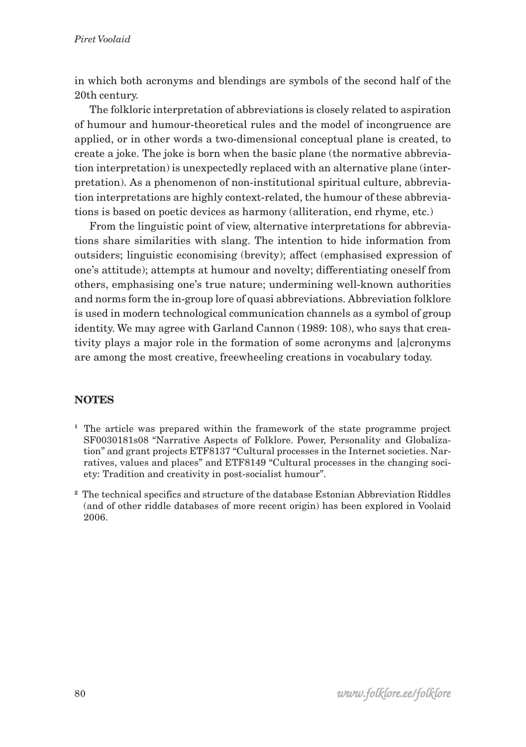in which both acronyms and blendings are symbols of the second half of the 20th century.

The folkloric interpretation of abbreviations is closely related to aspiration of humour and humour-theoretical rules and the model of incongruence are applied, or in other words a two-dimensional conceptual plane is created, to create a joke. The joke is born when the basic plane (the normative abbreviation interpretation) is unexpectedly replaced with an alternative plane (interpretation). As a phenomenon of non-institutional spiritual culture, abbreviation interpretations are highly context-related, the humour of these abbreviations is based on poetic devices as harmony (alliteration, end rhyme, etc.)

From the linguistic point of view, alternative interpretations for abbreviations share similarities with slang. The intention to hide information from outsiders; linguistic economising (brevity); affect (emphasised expression of one's attitude); attempts at humour and novelty; differentiating oneself from others, emphasising one's true nature; undermining well-known authorities and norms form the in-group lore of quasi abbreviations. Abbreviation folklore is used in modern technological communication channels as a symbol of group identity. We may agree with Garland Cannon (1989: 108), who says that creativity plays a major role in the formation of some acronyms and [a]cronyms are among the most creative, freewheeling creations in vocabulary today.

## **NOTES**

- **<sup>1</sup>** The article was prepared within the framework of the state programme project SF0030181s08 "Narrative Aspects of Folklore. Power, Personality and Globalization" and grant projects ETF8137 "Cultural processes in the Internet societies. Narratives, values and places" and ETF8149 "Cultural processes in the changing society: Tradition and creativity in post-socialist humour".
- **<sup>2</sup>** The technical specifics and structure of the database Estonian Abbreviation Riddles (and of other riddle databases of more recent origin) has been explored in Voolaid 2006.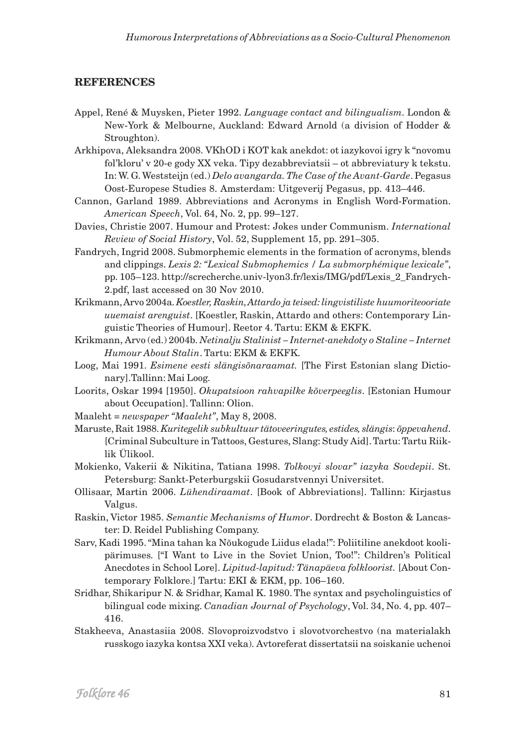#### **REFERENCES**

- Appel, René & Muysken, Pieter 1992. *Language contact and bilingualism*. London & New-York & Melbourne, Auckland: Edward Arnold (a division of Hodder & Stroughton).
- Arkhipova, Aleksandra 2008. VKhOD i KOT kak anekdot: ot iazykovoi igry k "novomu fol'kloru' v 20-e gody XX veka. Tipy dezabbreviatsii – ot abbreviatury k tekstu. In: W. G. Weststeijn (ed.) *Delo avangarda. The Case of the Avant-Garde*. Pegasus Oost-Europese Studies 8. Amsterdam: Uitgeverij Pegasus, pp. 413–446.
- Cannon, Garland 1989. Abbreviations and Acronyms in English Word-Formation. *American Speech*, Vol. 64, No. 2, pp. 99–127.
- Davies, Christie 2007. Humour and Protest: Jokes under Communism. *International Review of Social History*, Vol. 52, Supplement 15, pp. 291–305.
- Fandrych, Ingrid 2008. Submorphemic elements in the formation of acronyms, blends and clippings. *Lexis 2: "Lexical Submophemics / La submorphémique lexicale"*, pp. 105–123. http://screcherche.univ-lyon3.fr/lexis/IMG/pdf/Lexis\_2\_Fandrych-2.pdf, last accessed on 30 Nov 2010.
- Krikmann, Arvo 2004a. *Koestler, Raskin, Attardo ja teised: lingvistiliste huumoriteooriate uuemaist arenguist*. [Koestler, Raskin, Attardo and others: Contemporary Linguistic Theories of Humour]. Reetor 4. Tartu: EKM & EKFK.
- Krikmann, Arvo (ed.) 2004b. *Netinalju Stalinist Internet-anekdoty o Staline Internet Humour About Stalin*. Tartu: EKM & EKFK.
- Loog, Mai 1991. *Esimene eesti slängisõnaraamat.* [The First Estonian slang Dictionary].Tallinn: Mai Loog.
- Loorits, Oskar 1994 [1950]. *Okupatsioon rahvapilke kõverpeeglis*. [Estonian Humour about Occupation]. Tallinn: Olion.
- Maaleht = *newspaper "Maaleht"*, May 8, 2008.
- Maruste, Rait 1988. *Kuritegelik subkultuur tätoveeringutes, estides, slängis*: *õppevahend*. [Criminal Subculture in Tattoos, Gestures, Slang: Study Aid]. Tartu: Tartu Riiklik Ülikool.
- Mokienko, Vakerii & Nikitina, Tatiana 1998. *Tolkovyi slovar" iazyka Sovdepii*. St. Petersburg: Sankt-Peterburgskii Gosudarstvennyi Universitet.
- Ollisaar, Martin 2006. *Lühendiraamat*. [Book of Abbreviations]. Tallinn: Kirjastus Valgus.
- Raskin, Victor 1985. *Semantic Mechanisms of Humor*. Dordrecht & Boston & Lancaster: D. Reidel Publishing Company.
- Sarv, Kadi 1995. "Mina tahan ka Nõukogude Liidus elada!": Poliitiline anekdoot koolipärimuses. ["I Want to Live in the Soviet Union, Too!": Children's Political Anecdotes in School Lore]. *Lipitud-lapitud: Tänapäeva folkloorist.* [About Contemporary Folklore.] Tartu: EKI & EKM, pp. 106–160.
- Sridhar, Shikaripur N. & Sridhar, Kamal K. 1980. The syntax and psycholinguistics of bilingual code mixing. *Canadian Journal of Psychology*, Vol. 34, No. 4, pp. 407– 416.
- Stakheeva, Anastasiia 2008. Slovoproizvodstvo i slovotvorchestvo (na materialakh russkogo iazyka kontsa XXI veka). Avtoreferat dissertatsii na soiskanie uchenoi